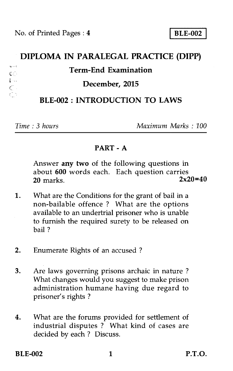# **DIPLOMA IN PARALEGAL PRACTICE (DIPP)**   $\ddot{\phantom{a}}$ **Term-End Examination**   $C^{(1)}$ ; - **December, 2015**

# **BLE-002 : INTRODUCTION TO LAWS**

*Time : 3 hours Maximum Marks : 100* 

# **PART - A**

Answer any two of the following questions in about **600** words each. Each question carries **20** marks.

- 1. What are the Conditions for the grant of bail in a non-bailable offence ? What are the options available to an undertrial prisoner who is unable to furnish the required surety to be released on bail ?
- 2. Enumerate Rights of an accused ?
- 3. Are laws governing prisons archaic in nature ? What changes would you suggest to make prison administration humane having due regard to prisoner's rights ?
- 4. What are the forums provided for settlement of industrial disputes ? What kind of cases are decided by each ? Discuss.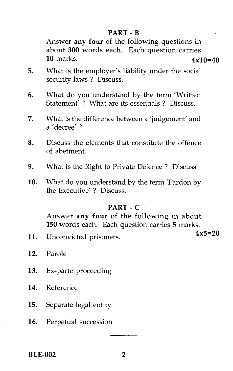# **PART - B**

Answer **any four** of the following questions in about **300** words each. Each question carries 10 marks. **4x10=40** 

- 5. What is the employer's liability under the social security laws ? Discuss.
- 6. What do you understand by the term 'Written Statement<sup>'</sup> ? What are its essentials ? Discuss.
- 7. What is the difference between a 'judgement' and a 'decree' ?
- 8. Discuss the elements that constitute the offence of abetment.
- 9. What is the Right to Private Defence ? Discuss.
- 10. What do you understand by the term 'Pardon by the Executive' ? Discuss.

#### **PART - C**

Answer **any four** of the following in about **150** words each. Each question carries **5** marks.

**4x5=20** 11. Unconvicted prisoners.

- 12. Parole
- 13. Ex-parte proceeding
- 14. Reference
- 15. Separate legal entity
- 16. Perpetual succession

**BLE-002 2**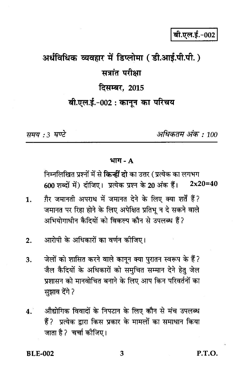# अर्धविधिक व्यवहार में डिप्लोमा (डी.आई.पी.पी.) सत्रांत परीक्षा दिसम्बर, 2015 बी.एल.ई.-002: कानुन का परिचय

समय : 3 घण्टे

अधिकतम् अंक : 100

#### भाग - A

निम्नलिखित प्रश्नों में से **किन्हीं दो** का उत्तर ( प्रत्येक का लगभग 600 शब्दों में) दीजिए। प्रत्येक प्रश्न के 20 अंक हैं।  $2x20=40$ 

- ग़ैर जमानती अपराध में जमानत देने के लिए क्या शर्तें हैं?  $\mathbf{1}$ . जमानत पर रिहा होने के लिए अपेक्षित प्रतिभू न दे सकने वाले अभियोगाधीन कैदियों को विकल्प कौन से उपलब्ध हैं?
- आरोपी के अधिकारों का वर्णन कोजिए।  $2.$
- जेलों को शासित करने वाले कानून क्या पुरातन स्वरूप के हैं? 3. जैल कैदियों के अधिकारों को समचित सम्मान देने हेतु जेल प्रशासन को मानवोचित बनाने के लिए आप किन परिवर्तनों का सझाव देंगे ?
- $4<sup>1</sup>$ औद्योगिक विवादों के निपटान के लिए कौन से मंच उपलब्ध हैं? प्रत्येक द्वारा किस प्रकार के मामलों का समाधान किया जाता है? चर्चा कीजिए।

**P.T.O.**